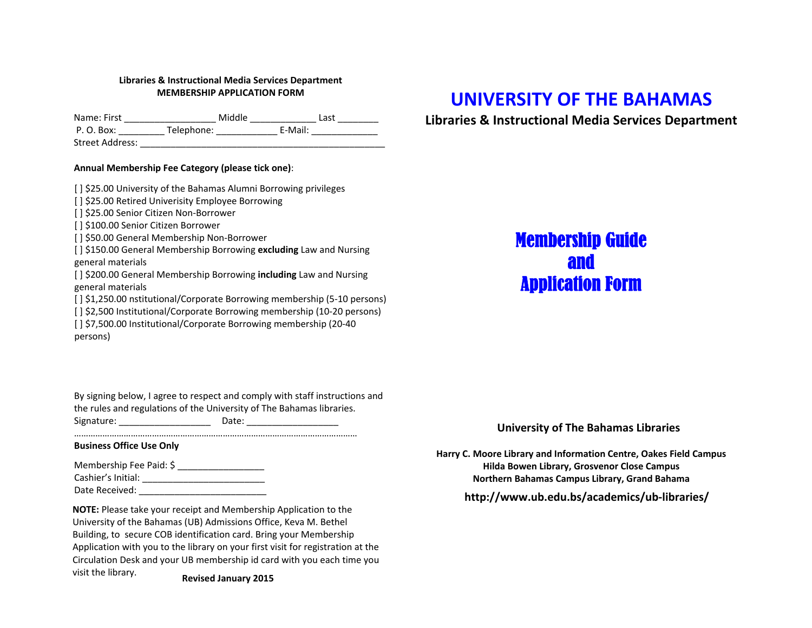### **Libraries & Instructional Media Services Department MEMBERSHIP APPLICATION FORM**

Name: First \_\_\_\_\_\_\_\_\_\_\_\_\_\_\_\_\_\_ Middle \_\_\_\_\_\_\_\_\_\_\_\_\_ Last \_\_\_\_\_\_\_\_ P. O. Box: \_\_\_\_\_\_\_\_\_\_\_\_ Telephone: \_\_\_\_\_\_\_\_\_\_\_\_\_\_\_\_ E-Mail: \_\_\_\_\_\_\_\_\_\_\_\_\_\_\_\_\_\_\_\_ Street Address: \_\_\_\_\_\_\_\_\_\_\_\_\_\_\_\_\_\_\_\_\_\_\_\_\_\_\_\_\_\_\_\_\_\_\_\_\_\_\_\_\_\_\_\_\_\_\_\_

#### **Annual Membership Fee Category (please tick one)**:

[ ] \$25.00 University of the Bahamas Alumni Borrowing privileges

[ ] \$25.00 Retired Univerisity Employee Borrowing

[ ] \$25.00 Senior Citizen Non-Borrower

[ ] \$100.00 Senior Citizen Borrower

[] \$50.00 General Membership Non-Borrower

 [ ] \$150.00 General Membership Borrowing **excluding** Law and Nursing general materials

 [ ] \$200.00 General Membership Borrowing **including** Law and Nursing general materials

[ ] \$1,250.00 nstitutional/Corporate Borrowing membership (5-10 persons)

[ ] \$2,500 Institutional/Corporate Borrowing membership (10-20 persons)

[ ] \$7,500.00 Institutional/Corporate Borrowing membership (20-40) persons)

By signing below, <sup>I</sup> agree to respect and comply with staff instructions and the rules and regulations of the University of The Bahamas libraries. Signature: \_\_\_\_\_\_\_\_\_\_\_\_\_\_\_\_\_\_ Date: \_\_\_\_\_\_\_\_\_\_\_\_\_\_\_\_\_\_

…………………………………………………………………………………………………………

# **Business Office Use Only**

| Membership Fee Paid: \$ |  |
|-------------------------|--|
| Cashier's Initial:      |  |
| Date Received:          |  |

**NOTE:** Please take your receipt and Membership Application to the University of the Bahamas (UB) Admissions Office, Keva M. Bethel Building, to secure COB identification card. Bring your Membership Application with you to the library on your first visit for registration at the Circulation Desk and your <sup>U</sup><sup>B</sup> membership id card with you each time you visit the library. **Revised**

### **January 201<sup>5</sup>**

# **UNIVERSITY OF THE BAHAMAS**

**Libraries & Instructional Media Services Department**

# Membership Guide andApplication Form

# **University of The Bahamas Libraries**

**Harry C. Moore Library and Information Centre, Oakes Field Campus Hilda Bowen Library, Grosvenor Close Campus Northern Bahamas Campus Library, Grand Bahama**

**http://www.ub.edu.bs/academics/ub-libraries/**